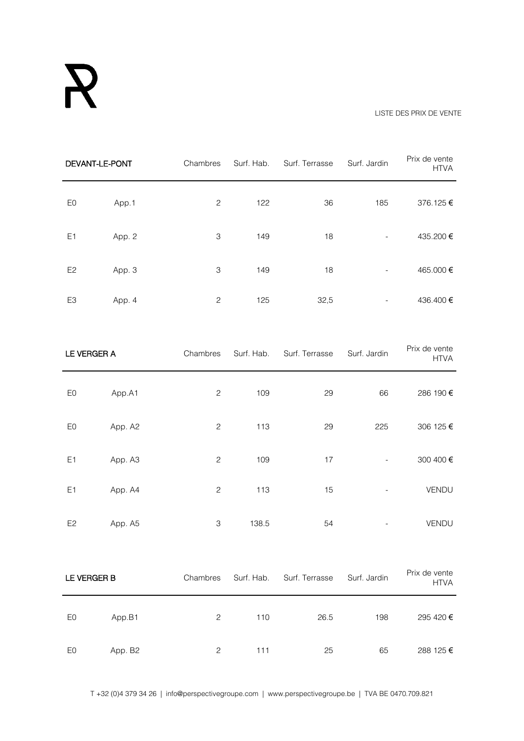## R

## LISTE DES PRIX DE VENTE

| DEVANT-LE-PONT |         | Chambres                  | Surf. Hab. | Surf. Terrasse | Surf. Jardin             | Prix de vente<br><b>HTVA</b> |
|----------------|---------|---------------------------|------------|----------------|--------------------------|------------------------------|
| E <sub>0</sub> | App.1   | $\sqrt{2}$                | 122        | 36             | 185                      | 376.125€                     |
| E <sub>1</sub> | App. 2  | $\ensuremath{\mathsf{3}}$ | 149        | 18             | $\overline{\phantom{a}}$ | 435.200€                     |
| E <sub>2</sub> | App. 3  | $\ensuremath{\mathsf{3}}$ | 149        | 18             |                          | 465.000€                     |
| E <sub>3</sub> | App. 4  | $\mathbf{2}$              | 125        | 32,5           |                          | 436.400€                     |
| LE VERGER A    |         | Chambres                  | Surf. Hab. | Surf. Terrasse | Surf. Jardin             | Prix de vente<br><b>HTVA</b> |
| E <sub>0</sub> | App.A1  | $\mathbf{2}$              | 109        | 29             | 66                       | 286 190 €                    |
| E <sub>0</sub> | App. A2 | $\sqrt{2}$                | 113        | 29             | 225                      | 306 125 €                    |
| E <sub>1</sub> | App. A3 | $\overline{c}$            | 109        | 17             | $\overline{\phantom{a}}$ | 300 400 €                    |
| E <sub>1</sub> | App. A4 | $\sqrt{2}$                | 113        | 15             |                          | VENDU                        |
| E <sub>2</sub> | App. A5 | $\ensuremath{\mathsf{3}}$ | 138.5      | 54             |                          | VENDU                        |

| LE VERGER B |         | Chambres | Surf. Hab. | Surf. Terrasse | Surf. Jardin | Prix de vente<br><b>HTVA</b> |
|-------------|---------|----------|------------|----------------|--------------|------------------------------|
| E0          | App.B1  | 2        | 110        | 26.5           | 198          | 295 420 €                    |
| E0          | App. B2 | 2        | 111        | 25             | 65           | 288 125 €                    |